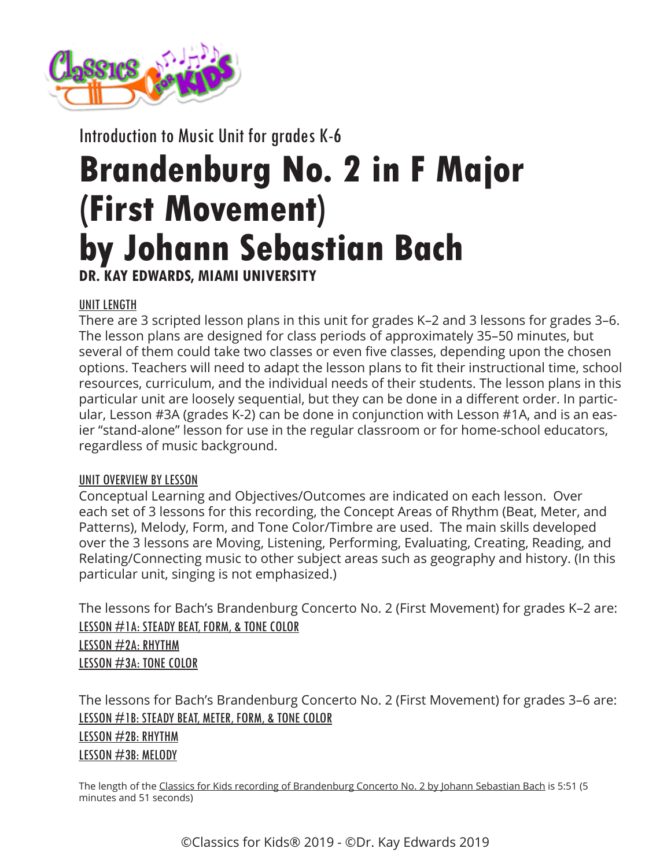

Introduction to Music Unit for grades K-6

# **Brandenburg No. 2 in F Major (First Movement) by Johann Sebastian Bach DR. KAY EDWARDS, MIAMI UNIVERSITY**

# UNIT LENGTH

There are 3 scripted lesson plans in this unit for grades K–2 and 3 lessons for grades 3–6. The lesson plans are designed for class periods of approximately 35–50 minutes, but several of them could take two classes or even five classes, depending upon the chosen options. Teachers will need to adapt the lesson plans to fit their instructional time, school resources, curriculum, and the individual needs of their students. The lesson plans in this particular unit are loosely sequential, but they can be done in a different order. In particular, Lesson #3A (grades K-2) can be done in conjunction with Lesson #1A, and is an easier "stand-alone" lesson for use in the regular classroom or for home-school educators, regardless of music background.

# UNIT OVERVIEW BY LESSON

Conceptual Learning and Objectives/Outcomes are indicated on each lesson. Over each set of 3 lessons for this recording, the Concept Areas of Rhythm (Beat, Meter, and Patterns), Melody, Form, and Tone Color/Timbre are used. The main skills developed over the 3 lessons are Moving, Listening, Performing, Evaluating, Creating, Reading, and Relating/Connecting music to other subject areas such as geography and history. (In this particular unit, singing is not emphasized.)

The lessons for Bach's Brandenburg Concerto No. 2 (First Movement) for grades K–2 are: [LESSON #1A: STEADY BEAT, FORM, & TONE COLOR](https://www.classicsforkids.com/downloads/bach/Bach_LessonPlansK-2_1a.pdf) [LESSON #2A: RHYTHM](https://www.classicsforkids.com/downloads/bach/Bach_LessonPlansK-2_2a.pdf) [LESSON #3A: TONE COLOR](https://www.classicsforkids.com/downloads/bach/Bach_LessonPlansK-2_3a.pdf)

The lessons for Bach's Brandenburg Concerto No. 2 (First Movement) for grades 3–6 are: [LESSON #1B: STEADY BEAT, METER, FORM, & TONE COLOR](https://www.classicsforkids.com/downloads/bach/Bach_LessonPlans3-6_1b.pdf) [LESSON #2B: RHYTHM](https://www.classicsforkids.com/downloads/bach/Bach_LessonPlans3-6_2b.pdf) [LESSON #3B: MELODY](https://www.classicsforkids.com/downloads/bach/Bach_LessonPlans3-6_3b.pdf)

The length of the [Classics for Kids recording of Brandenburg Concerto No. 2 by Johann Sebastian Bach](https://www.classicsforkids.com/music/hearthemusic.php?id=3) is 5:51 (5 minutes and 51 seconds)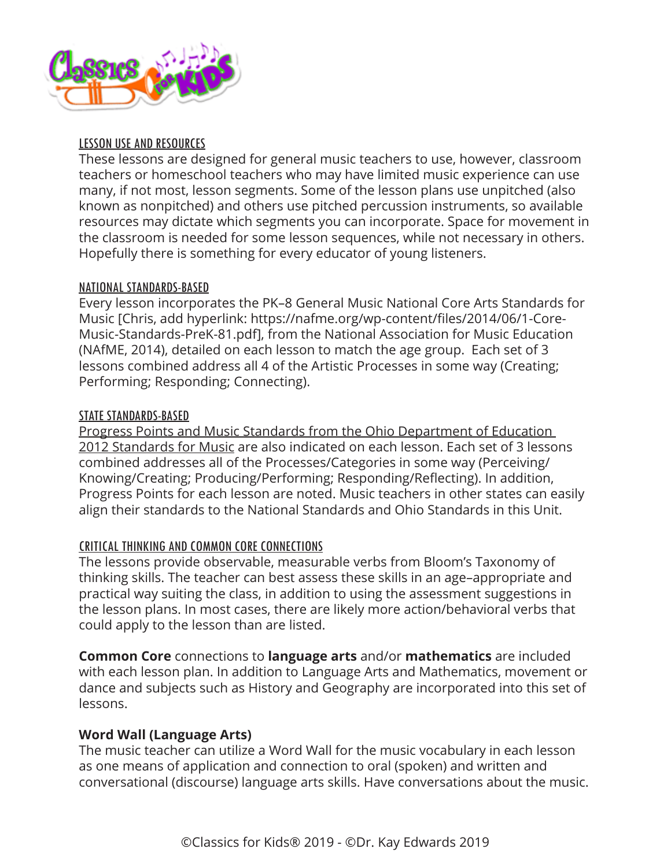

# LESSON USE AND RESOURCES

These lessons are designed for general music teachers to use, however, classroom teachers or homeschool teachers who may have limited music experience can use many, if not most, lesson segments. Some of the lesson plans use unpitched (also known as nonpitched) and others use pitched percussion instruments, so available resources may dictate which segments you can incorporate. Space for movement in the classroom is needed for some lesson sequences, while not necessary in others. Hopefully there is something for every educator of young listeners.

## NATIONAL STANDARDS-BASED

Every lesson incorporates the PK–8 General Music National Core Arts Standards for Music [Chris, add hyperlink: https://nafme.org/wp-content/files/2014/06/1-Core-Music-Standards-PreK-81.pdf], from the National Association for Music Education (NAfME, 2014), detailed on each lesson to match the age group. Each set of 3 lessons combined address all 4 of the Artistic Processes in some way (Creating; Performing; Responding; Connecting).

# STATE STANDARDS-BASED

[Progress Points and Music Standards from the Ohio Department of Education](https://education.ohio.gov/getattachment/Topics/Learning-in-Ohio/Fine-Arts/Fine-Arts-Standards/Ohio-Music-Standards-Final-2.pdf.aspx?lang=en-US)  [2012 Standards for Music](https://education.ohio.gov/getattachment/Topics/Learning-in-Ohio/Fine-Arts/Fine-Arts-Standards/Ohio-Music-Standards-Final-2.pdf.aspx?lang=en-US) are also indicated on each lesson. Each set of 3 lessons combined addresses all of the Processes/Categories in some way (Perceiving/ Knowing/Creating; Producing/Performing; Responding/Reflecting). In addition, Progress Points for each lesson are noted. Music teachers in other states can easily align their standards to the National Standards and Ohio Standards in this Unit.

# [CRITICAL THINKING](https://nafme.org/the-4-cs-critical-thinking/) AND [COMMON CORE CONNECTIONS](http://www.corestandards.org/read-the-standards/)

The lessons provide observable, measurable verbs from Bloom's Taxonomy of thinking skills. The teacher can best assess these skills in an age–appropriate and practical way suiting the class, in addition to using the assessment suggestions in the lesson plans. In most cases, there are likely more action/behavioral verbs that could apply to the lesson than are listed.

**Common Core** connections to **language arts** and/or **mathematics** are included with each lesson plan. In addition to Language Arts and Mathematics, movement or dance and subjects such as History and Geography are incorporated into this set of lessons.

# **Word Wall (Language Arts)**

The music teacher can utilize a Word Wall for the music vocabulary in each lesson as one means of application and connection to oral (spoken) and written and conversational (discourse) language arts skills. Have conversations about the music.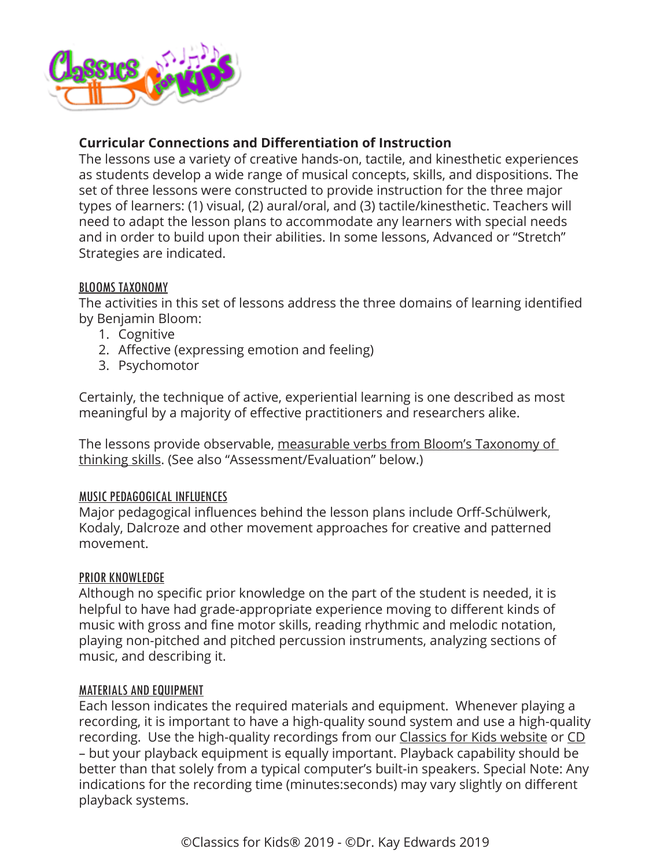

# **Curricular Connections and Differentiation of Instruction**

The lessons use a variety of creative hands-on, tactile, and kinesthetic experiences as students develop a wide range of musical concepts, skills, and dispositions. The set of three lessons were constructed to provide instruction for the three major types of learners: (1) visual, (2) aural/oral, and (3) tactile/kinesthetic. Teachers will need to adapt the lesson plans to accommodate any learners with special needs and in order to build upon their abilities. In some lessons, Advanced or "Stretch" Strategies are indicated.

# BLOOMS TAXONOMY

The activities in this set of lessons address the three domains of learning identified by Benjamin Bloom:

- 1. Cognitive
- 2. Affective (expressing emotion and feeling)
- 3. Psychomotor

Certainly, the technique of active, experiential learning is one described as most meaningful by a majority of effective practitioners and researchers alike.

The lessons provide observable, [measurable verbs from Bloom's Taxonomy of](https://www.fractuslearning.com/blooms-taxonomy-verbs-free-chart/)  [thinking skills.](https://www.fractuslearning.com/blooms-taxonomy-verbs-free-chart/) (See also "Assessment/Evaluation" below.)

## MUSIC PEDAGOGICAL INFLUENCES

Major pedagogical influences behind the lesson plans include Orff-Schülwerk, Kodaly, Dalcroze and other movement approaches for creative and patterned movement.

## PRIOR KNOWLEDGE

Although no specific prior knowledge on the part of the student is needed, it is helpful to have had grade-appropriate experience moving to different kinds of music with gross and fine motor skills, reading rhythmic and melodic notation, playing non-pitched and pitched percussion instruments, analyzing sections of music, and describing it.

## MATERIALS AND EQUIPMENT

Each lesson indicates the required materials and equipment. Whenever playing a recording, it is important to have a high-quality sound system and use a high-quality recording. Use the high-quality recordings from our [Classics for Kids website](https://www.classicsforkids.com/) or [CD](https://www.classicsforkids.com/more/cfk_cd.html) – but your playback equipment is equally important. Playback capability should be better than that solely from a typical computer's built-in speakers. Special Note: Any indications for the recording time (minutes:seconds) may vary slightly on different playback systems.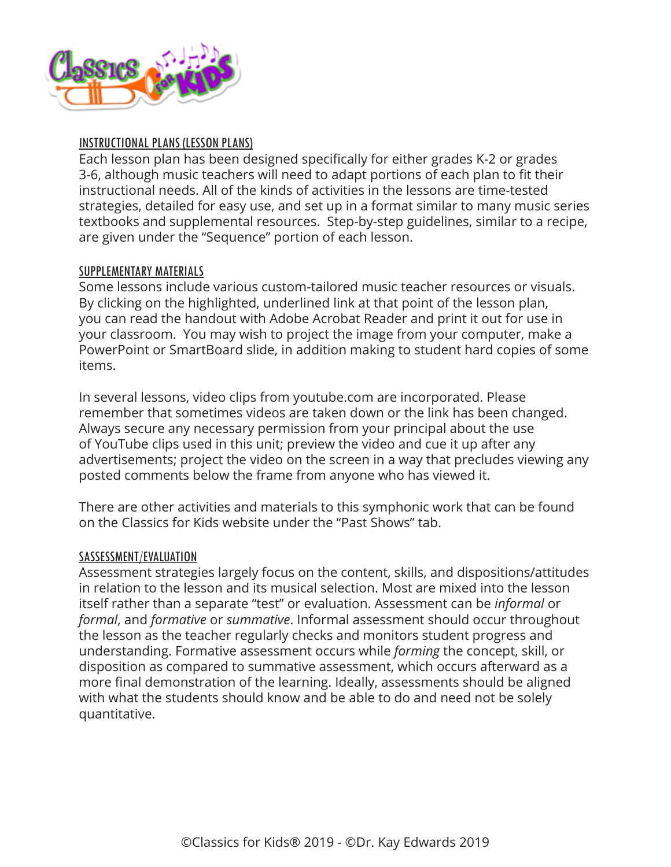

## INSTRUCTIONAL PLANS (LESSON PLANS)

Each lesson plan has been designed specifically for either grades K-2 or grades 3-6, although music teachers will need to adapt portions of each plan to fit their instructional needs. All of the kinds of activities in the lessons are time-tested strategies, detailed for easy use, and set up in a format similar to many music series textbooks and supplemental resources. Step-by-step guidelines, similar to a recipe, are given under the "Sequence" portion of each lesson.

## SUPPLEMENTARY MATERIALS

Some lessons include various custom-tailored music teacher resources or visuals. By clicking on the highlighted, underlined link at that point of the lesson plan, you can read the handout with Adobe Acrobat Reader and print it out for use in your classroom. You may wish to project the image from your computer, make a PowerPoint or SmartBoard slide, in addition making to student hard copies of some items.

In several lessons, video clips from youtube.com are incorporated. Please remember that sometimes videos are taken down or the link has been changed. Always secure any necessary permission from your principal about the use of YouTube clips used in this unit; preview the video and cue it up after any advertisements; project the video on the screen in a way that precludes viewing any posted comments below the frame from anyone who has viewed it.

There are other activities and materials to this symphonic work that can be found on the Classics for Kids website under the "Past Shows" tab.

#### SASSESSMENT/EVALUATION

Assessment strategies largely focus on the content, skills, and dispositions/attitudes in relation to the lesson and its musical selection. Most are mixed into the lesson itself rather than a separate "test" or evaluation. Assessment can be *informal* or *formal*, and *formative* or *summative*. Informal assessment should occur throughout the lesson as the teacher regularly checks and monitors student progress and understanding. Formative assessment occurs while *forming* the concept, skill, or disposition as compared to summative assessment, which occurs afterward as a more final demonstration of the learning. Ideally, assessments should be aligned with what the students should know and be able to do and need not be solely quantitative.